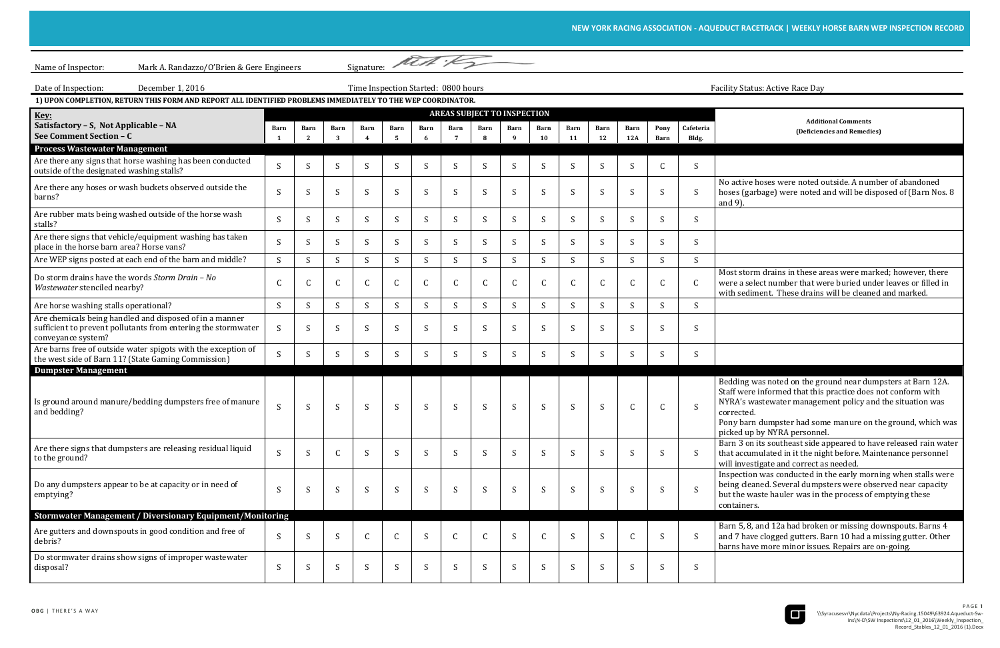active hoses were noted outside. A number of abandoned hoses (garbage) were noted and will be disposed of (Barn Nos. 8 9).

st storm drains in these areas were marked; however, there were a select number that were buried under leaves or filled in with sediment. These drains will be cleaned and marked.

Iding was noted on the ground near dumpsters at Barn 12A. If were informed that this practice does not conform with NYRA's wastewater management policy and the situation was rected.

 Pony barn dumpster had some manure on the ground, which was ed up by NYRA personnel.

 Barn 3 on its southeast side appeared to have released rain water t accumulated in it the night before. Maintenance personnel investigate and correct as needed.

 Inspection was conducted in the early morning when stalls were ig cleaned. Several dumpsters were observed near capacity the waste hauler was in the process of emptying these tainers.

n 5, 8, and 12a had broken or missing downspouts. Barns 4 and 7 have clogged gutters. Barn 10 had a missing gutter. Other ns have more minor issues. Repairs are on-going.



| Mark A. Randazzo/O'Brien & Gere Engineers<br>Name of Inspector:                                                                                |                                     |           |              |              |              |              |           | Signature: Met :                                |                         |              |                                         |            |             |              |                    |                                                                                                                                                                                                                                |
|------------------------------------------------------------------------------------------------------------------------------------------------|-------------------------------------|-----------|--------------|--------------|--------------|--------------|-----------|-------------------------------------------------|-------------------------|--------------|-----------------------------------------|------------|-------------|--------------|--------------------|--------------------------------------------------------------------------------------------------------------------------------------------------------------------------------------------------------------------------------|
| December 1, 2016<br>Date of Inspection:                                                                                                        | Time Inspection Started: 0800 hours |           |              |              |              |              |           |                                                 |                         |              | <b>Facility Status: Active Race Day</b> |            |             |              |                    |                                                                                                                                                                                                                                |
| 1) UPON COMPLETION, RETURN THIS FORM AND REPORT ALL IDENTIFIED PROBLEMS IMMEDIATELY TO THE WEP COORDINATOR.                                    |                                     |           |              |              |              |              |           |                                                 |                         |              |                                         |            |             |              |                    |                                                                                                                                                                                                                                |
| Key:<br>Satisfactory - S, Not Applicable - NA<br>See Comment Section - C                                                                       | Barn                                | Barn<br>2 | Barn<br>3    | Barn         | Barn<br>- 5  | Barn<br>-6   | Barn<br>7 | <b>AREAS SUBJECT TO INSPECTION</b><br>Barn<br>8 | <b>Barn</b><br><b>q</b> | Barn<br>10   | Barn<br>11                              | Barn<br>12 | Barn<br>12A | Pony<br>Barn | Cafeteria<br>Bldg. | <b>Additional Comments</b><br>(Deficiencies and Remedies)                                                                                                                                                                      |
| <b>Process Wastewater Management</b>                                                                                                           |                                     |           |              |              |              |              |           |                                                 |                         |              |                                         |            |             |              |                    |                                                                                                                                                                                                                                |
| Are there any signs that horse washing has been conducted<br>outside of the designated washing stalls?                                         | S                                   | S         | S            | <sup>S</sup> | S            | S            | S         | S                                               | S                       | S            | S                                       | S          | S           | C            | S                  |                                                                                                                                                                                                                                |
| Are there any hoses or wash buckets observed outside the<br>barns?                                                                             | S                                   | S         | S            | S            | S            | S            | S         | S                                               | S                       | S            | S                                       | S          | S           | -S           | S                  | No active hoses were noted outside. A numb<br>hoses (garbage) were noted and will be disp<br>and 9).                                                                                                                           |
| Are rubber mats being washed outside of the horse wash<br>stalls?                                                                              | S.                                  | S         | S            | <sup>S</sup> | S            | S            | S         | S                                               | S                       | S            | S                                       | S          | S           | <sup>S</sup> | -S                 |                                                                                                                                                                                                                                |
| Are there signs that vehicle/equipment washing has taken<br>place in the horse barn area? Horse vans?                                          | S.                                  | S         | S.           | <sub>S</sub> | S            | S            | S.        | S                                               | S                       | S.           | S.                                      | S          | S           | <sup>S</sup> | -S                 |                                                                                                                                                                                                                                |
| Are WEP signs posted at each end of the barn and middle?                                                                                       | S                                   | S         | S            | S            | S            | S            | S         | S                                               | S                       | S            | S                                       | S          | S           | S            | S                  |                                                                                                                                                                                                                                |
| Do storm drains have the words Storm Drain - No<br>Wastewater stenciled nearby?                                                                | C                                   | C         | $\mathsf{C}$ |              | $\mathsf{C}$ |              | C         | $\mathsf{C}$                                    |                         | C            |                                         | C          | C           |              |                    | Most storm drains in these areas were mark<br>were a select number that were buried unde<br>with sediment. These drains will be cleaned                                                                                        |
| Are horse washing stalls operational?                                                                                                          | S                                   | S         | S            | S            | S            | S            | S         | S                                               | S                       | S.           | S                                       | S          | S           | <sup>S</sup> | -S                 |                                                                                                                                                                                                                                |
| Are chemicals being handled and disposed of in a manner<br>sufficient to prevent pollutants from entering the stormwater<br>conveyance system? | S                                   | S         | S            | S            | S            | S            | S         | S                                               | S                       | S            | S                                       | S          | S           | <sup>S</sup> | <sub>S</sub>       |                                                                                                                                                                                                                                |
| Are barns free of outside water spigots with the exception of<br>the west side of Barn 11? (State Gaming Commission)                           | S                                   | S         | S            | S            | S            | <sup>S</sup> | S         | S.                                              | -S                      | S.           | S                                       | S          | S.          | <sup>S</sup> | -S                 |                                                                                                                                                                                                                                |
| <b>Dumpster Management</b>                                                                                                                     |                                     |           |              |              |              |              |           |                                                 |                         |              |                                         |            |             |              |                    |                                                                                                                                                                                                                                |
| Is ground around manure/bedding dumpsters free of manure<br>and bedding?                                                                       | S                                   | S         | S            | S            | S            | S            | S         | S                                               | S                       | S            | S                                       | S          | C           | $\mathsf{C}$ | S                  | Bedding was noted on the ground near dum<br>Staff were informed that this practice does n<br>NYRA's wastewater management policy and<br>corrected.<br>Pony barn dumpster had some manure on th<br>picked up by NYRA personnel. |
| Are there signs that dumpsters are releasing residual liquid<br>to the ground?                                                                 | S.                                  | S         | $\mathsf{C}$ | S            | S            | S            | S         | S                                               | S                       | S            | S                                       | S          | S.          | -S           | S                  | Barn 3 on its southeast side appeared to hav<br>that accumulated in it the night before. Main<br>will investigate and correct as needed.                                                                                       |
| Do any dumpsters appear to be at capacity or in need of<br>emptying?                                                                           | S                                   | S         | S            | <sub>S</sub> | S            | S            | S         | S                                               | S                       | S            | S                                       | S          | S.          | <sub>S</sub> | S                  | Inspection was conducted in the early morni<br>being cleaned. Several dumpsters were obse<br>but the waste hauler was in the process of er<br>containers.                                                                      |
| Stormwater Management / Diversionary Equipment/Monitoring                                                                                      |                                     |           |              |              |              |              |           |                                                 |                         |              |                                         |            |             |              |                    |                                                                                                                                                                                                                                |
| Are gutters and downspouts in good condition and free of<br>debris?                                                                            | S.                                  | S         | S            |              | $\mathsf{C}$ | S            | C         | $\mathsf{C}$                                    | S                       | $\mathsf{C}$ | S                                       | S          | C           | <sup>S</sup> | -S                 | Barn 5, 8, and 12a had broken or missing do<br>and 7 have clogged gutters. Barn 10 had a m<br>barns have more minor issues. Repairs are o                                                                                      |
| Do stormwater drains show signs of improper wastewater<br>disposal?                                                                            | S                                   | S         | <sub>S</sub> | S            | S            |              | S         | S                                               | S                       | S            | S                                       | S          | S.          | <sup>S</sup> | S                  |                                                                                                                                                                                                                                |